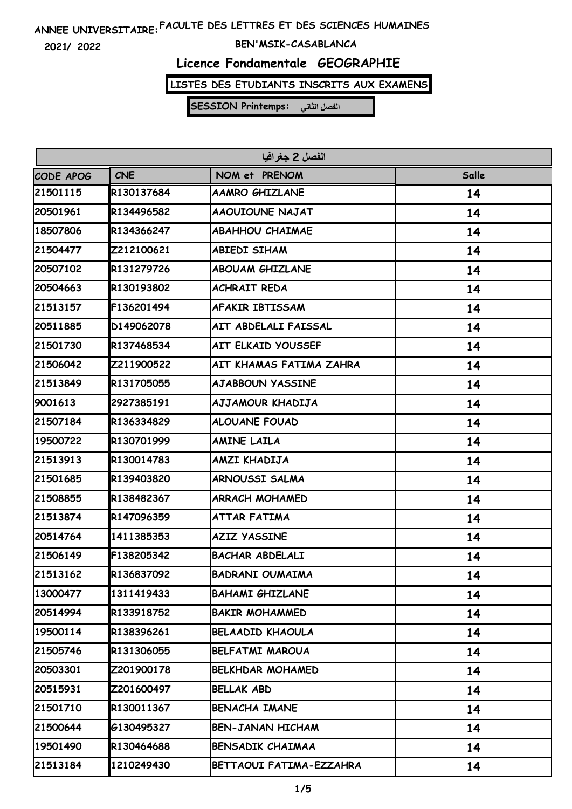**2021/ 2022**

#### **BEN'MSIK-CASABLANCA**

# **Licence Fondamentale GEOGRAPHIE**

### **LISTES DES ETUDIANTS INSCRITS AUX EXAMENS**

| الفصل 2 جغرافيا |            |                           |       |
|-----------------|------------|---------------------------|-------|
| CODE APOG       | <b>CNE</b> | NOM et PRENOM             | Salle |
| 21501115        | R130137684 | <b>AAMRO GHIZLANE</b>     | 14    |
| 20501961        | R134496582 | AAOUIOUNE NAJAT           | 14    |
| 18507806        | R134366247 | <b>ABAHHOU CHAIMAE</b>    | 14    |
| 21504477        | Z212100621 | <b>ABIEDI SIHAM</b>       | 14    |
| 20507102        | R131279726 | <b>ABOUAM GHIZLANE</b>    | 14    |
| 20504663        | R130193802 | <b>ACHRAIT REDA</b>       | 14    |
| 21513157        | F136201494 | <b>AFAKIR IBTISSAM</b>    | 14    |
| 20511885        | D149062078 | AIT ABDELALI FAISSAL      | 14    |
| 21501730        | R137468534 | <b>AIT ELKAID YOUSSEF</b> | 14    |
| 21506042        | Z211900522 | AIT KHAMAS FATIMA ZAHRA   | 14    |
| 21513849        | R131705055 | <b>AJABBOUN YASSINE</b>   | 14    |
| 9001613         | 2927385191 | AJJAMOUR KHADIJA          | 14    |
| 21507184        | R136334829 | <b>ALOUANE FOUAD</b>      | 14    |
| 19500722        | R130701999 | <b>AMINE LAILA</b>        | 14    |
| 21513913        | R130014783 | AMZI KHADIJA              | 14    |
| 21501685        | R139403820 | ARNOUSSI SALMA            | 14    |
| 21508855        | R138482367 | <b>ARRACH MOHAMED</b>     | 14    |
| 21513874        | R147096359 | <b>ATTAR FATIMA</b>       | 14    |
| 20514764        | 1411385353 | <b>AZIZ YASSINE</b>       | 14    |
| 21506149        | F138205342 | <b>BACHAR ABDELALI</b>    | 14    |
| 21513162        | R136837092 | <b>BADRANI OUMAIMA</b>    | 14    |
| 13000477        | 1311419433 | <b>BAHAMI GHIZLANE</b>    | 14    |
| 20514994        | R133918752 | <b>BAKIR MOHAMMED</b>     | 14    |
| 19500114        | R138396261 | <b>BELAADID KHAOULA</b>   | 14    |
| 21505746        | R131306055 | <b>BELFATMI MAROUA</b>    | 14    |
| 20503301        | Z201900178 | <b>BELKHDAR MOHAMED</b>   | 14    |
| 20515931        | Z201600497 | <b>BELLAK ABD</b>         | 14    |
| 21501710        | R130011367 | <b>BENACHA IMANE</b>      | 14    |
| 21500644        | 6130495327 | <b>BEN-JANAN HICHAM</b>   | 14    |
| 19501490        | R130464688 | <b>BENSADIK CHAIMAA</b>   | 14    |
| 21513184        | 1210249430 | BETTAOUI FATIMA-EZZAHRA   | 14    |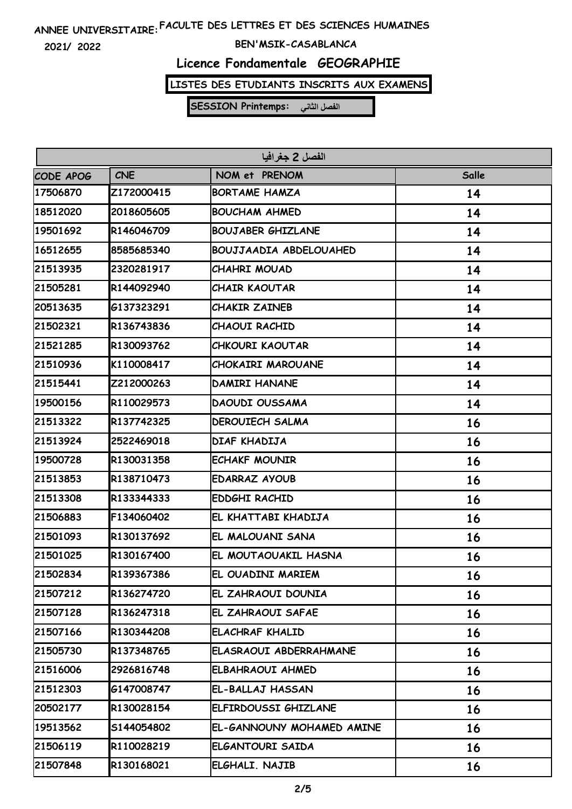**2021/ 2022**

#### **BEN'MSIK-CASABLANCA**

# **Licence Fondamentale GEOGRAPHIE**

### **LISTES DES ETUDIANTS INSCRITS AUX EXAMENS**

| الفصل 2 جغرافيا |            |                               |       |
|-----------------|------------|-------------------------------|-------|
| CODE APOG       | <b>CNE</b> | NOM et PRENOM                 | Salle |
| 17506870        | Z172000415 | <b>BORTAME HAMZA</b>          | 14    |
| 18512020        | 2018605605 | <b>BOUCHAM AHMED</b>          | 14    |
| 19501692        | R146046709 | <b>BOUJABER GHIZLANE</b>      | 14    |
| 16512655        | 8585685340 | <b>BOUJJAADIA ABDELOUAHED</b> | 14    |
| 21513935        | 2320281917 | <b>CHAHRI MOUAD</b>           | 14    |
| 21505281        | R144092940 | <b>CHAIR KAOUTAR</b>          | 14    |
| 20513635        | G137323291 | <b>CHAKIR ZAINEB</b>          | 14    |
| 21502321        | R136743836 | <b>CHAOUI RACHID</b>          | 14    |
| 21521285        | R130093762 | CHKOURI KAOUTAR               | 14    |
| 21510936        | K110008417 | CHOKAIRI MAROUANE             | 14    |
| 21515441        | Z212000263 | <b>DAMIRI HANANE</b>          | 14    |
| 19500156        | R110029573 | <b>DAOUDI OUSSAMA</b>         | 14    |
| 21513322        | R137742325 | <b>DEROUIECH SALMA</b>        | 16    |
| 21513924        | 2522469018 | DIAF KHADIJA                  | 16    |
| 19500728        | R130031358 | <b>ECHAKF MOUNIR</b>          | 16    |
| 21513853        | R138710473 | <b>EDARRAZ AYOUB</b>          | 16    |
| 21513308        | R133344333 | <b>EDDGHI RACHID</b>          | 16    |
| 21506883        | F134060402 | EL KHATTABI KHADIJA           | 16    |
| 21501093        | R130137692 | EL MALOUANI SANA              | 16    |
| 21501025        | R130167400 | EL MOUTAOUAKIL HASNA          | 16    |
| 21502834        | R139367386 | EL OUADINI MARIEM             | 16    |
| 21507212        | R136274720 | EL ZAHRAOUI DOUNIA            | 16    |
| 21507128        | R136247318 | EL ZAHRAOUI SAFAE             | 16    |
| 21507166        | R130344208 | <b>ELACHRAF KHALID</b>        | 16    |
| 21505730        | R137348765 | ELASRAOUI ABDERRAHMANE        | 16    |
| 21516006        | 2926816748 | ELBAHRAOUI AHMED              | 16    |
| 21512303        | G147008747 | EL-BALLAJ HASSAN              | 16    |
| 20502177        | R130028154 | ELFIRDOUSSI GHIZLANE          | 16    |
| 19513562        | S144054802 | EL-GANNOUNY MOHAMED AMINE     | 16    |
| 21506119        | R110028219 | ELGANTOURI SAIDA              | 16    |
| 21507848        | R130168021 | ELGHALI. NAJIB                | 16    |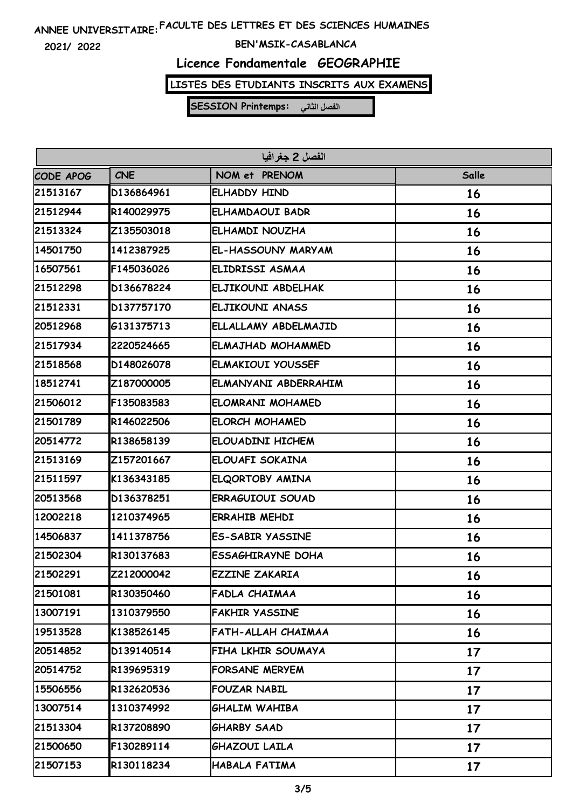**2021/ 2022**

#### **BEN'MSIK-CASABLANCA**

# **Licence Fondamentale GEOGRAPHIE**

### **LISTES DES ETUDIANTS INSCRITS AUX EXAMENS**

| الفصل 2 جغرافيا |            |                          |       |
|-----------------|------------|--------------------------|-------|
| CODE APOG       | <b>CNE</b> | NOM et PRENOM            | Salle |
| 21513167        | D136864961 | ELHADDY HIND             | 16    |
| 21512944        | R140029975 | ELHAMDAOUI BADR          | 16    |
| 21513324        | Z135503018 | ELHAMDI NOUZHA           | 16    |
| 14501750        | 1412387925 | EL-HASSOUNY MARYAM       | 16    |
| 16507561        | F145036026 | ELIDRISSI ASMAA          | 16    |
| 21512298        | D136678224 | ELJIKOUNI ABDELHAK       | 16    |
| 21512331        | D137757170 | ELJIKOUNI ANASS          | 16    |
| 20512968        | 6131375713 | ELLALLAMY ABDELMAJID     | 16    |
| 21517934        | 2220524665 | ELMAJHAD MOHAMMED        | 16    |
| 21518568        | D148026078 | <b>ELMAKIOUI YOUSSEF</b> | 16    |
| 18512741        | Z187000005 | ELMANYANI ABDERRAHIM     | 16    |
| 21506012        | F135083583 | ELOMRANI MOHAMED         | 16    |
| 21501789        | R146022506 | <b>ELORCH MOHAMED</b>    | 16    |
| 20514772        | R138658139 | ELOUADINI HICHEM         | 16    |
| 21513169        | Z157201667 | ELOUAFI SOKAINA          | 16    |
| 21511597        | K136343185 | ELQORTOBY AMINA          | 16    |
| 20513568        | D136378251 | <b>ERRAGUIOUI SOUAD</b>  | 16    |
| 12002218        | 1210374965 | <b>ERRAHIB MEHDI</b>     | 16    |
| 14506837        | 1411378756 | <b>ES-SABIR YASSINE</b>  | 16    |
| 21502304        | R130137683 | <b>ESSAGHIRAYNE DOHA</b> | 16    |
| 21502291        | Z212000042 | <b>EZZINE ZAKARIA</b>    | 16    |
| 21501081        | R130350460 | FADLA CHAIMAA            | 16    |
| 13007191        | 1310379550 | <b>FAKHIR YASSINE</b>    | 16    |
| 19513528        | K138526145 | FATH-ALLAH CHAIMAA       | 16    |
| 20514852        | D139140514 | FIHA LKHIR SOUMAYA       | 17    |
| 20514752        | R139695319 | <b>FORSANE MERYEM</b>    | 17    |
| 15506556        | R132620536 | <b>FOUZAR NABIL</b>      | 17    |
| 13007514        | 1310374992 | GHALIM WAHIBA            | 17    |
| 21513304        | R137208890 | <b>GHARBY SAAD</b>       | 17    |
| 21500650        | F130289114 | GHAZOUI LAILA            | 17    |
| 21507153        | R130118234 | HABALA FATIMA            | 17    |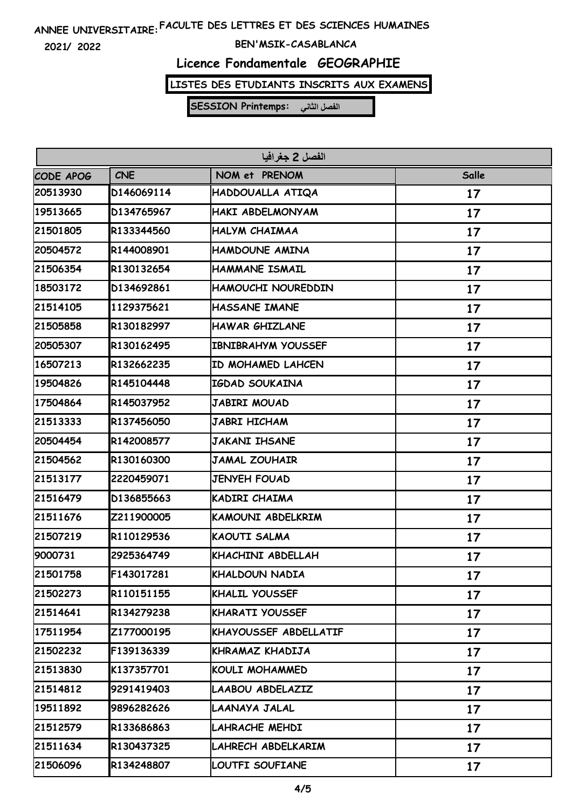**2021/ 2022**

#### **BEN'MSIK-CASABLANCA**

# **Licence Fondamentale GEOGRAPHIE**

### **LISTES DES ETUDIANTS INSCRITS AUX EXAMENS**

| الفصل 2 جغرافيا |            |                           |       |
|-----------------|------------|---------------------------|-------|
| CODE APOG       | <b>CNE</b> | NOM et PRENOM             | Salle |
| 20513930        | D146069114 | HADDOUALLA ATIQA          | 17    |
| 19513665        | D134765967 | HAKI ABDELMONYAM          | 17    |
| 21501805        | R133344560 | HALYM CHAIMAA             | 17    |
| 20504572        | R144008901 | HAMDOUNE AMINA            | 17    |
| 21506354        | R130132654 | HAMMANE ISMAIL            | 17    |
| 18503172        | D134692861 | HAMOUCHI NOUREDDIN        | 17    |
| 21514105        | 1129375621 | HASSANE IMANE             | 17    |
| 21505858        | R130182997 | <b>HAWAR GHIZLANE</b>     | 17    |
| 20505307        | R130162495 | <b>IBNIBRAHYM YOUSSEF</b> | 17    |
| 16507213        | R132662235 | ID MOHAMED LAHCEN         | 17    |
| 19504826        | R145104448 | IGDAD SOUKAINA            | 17    |
| 17504864        | R145037952 | JABIRI MOUAD              | 17    |
| 21513333        | R137456050 | JABRI HICHAM              | 17    |
| 20504454        | R142008577 | <b>JAKANI IHSANE</b>      | 17    |
| 21504562        | R130160300 | <b>JAMAL ZOUHAIR</b>      | 17    |
| 21513177        | 2220459071 | <b>JENYEH FOUAD</b>       | 17    |
| 21516479        | D136855663 | KADIRI CHAIMA             | 17    |
| 21511676        | Z211900005 | KAMOUNI ABDELKRIM         | 17    |
| 21507219        | R110129536 | <b>KAOUTI SALMA</b>       | 17    |
| 9000731         | 2925364749 | KHACHINI ABDELLAH         | 17    |
| 21501758        | F143017281 | KHALDOUN NADIA            | 17    |
| 21502273        | R110151155 | <b>KHALIL YOUSSEF</b>     | 17    |
| 21514641        | R134279238 | KHARATI YOUSSEF           | 17    |
| 17511954        | Z177000195 | KHAYOUSSEF ABDELLATIF     | 17    |
| 21502232        | F139136339 | KHRAMAZ KHADIJA           | 17    |
| 21513830        | K137357701 | <b>KOULI MOHAMMED</b>     | 17    |
| 21514812        | 9291419403 | LAABOU ABDELAZIZ          | 17    |
| 19511892        | 9896282626 | LAANAYA JALAL             | 17    |
| 21512579        | R133686863 | LAHRACHE MEHDI            | 17    |
| 21511634        | R130437325 | LAHRECH ABDELKARIM        | 17    |
| 21506096        | R134248807 | LOUTFI SOUFIANE           | 17    |